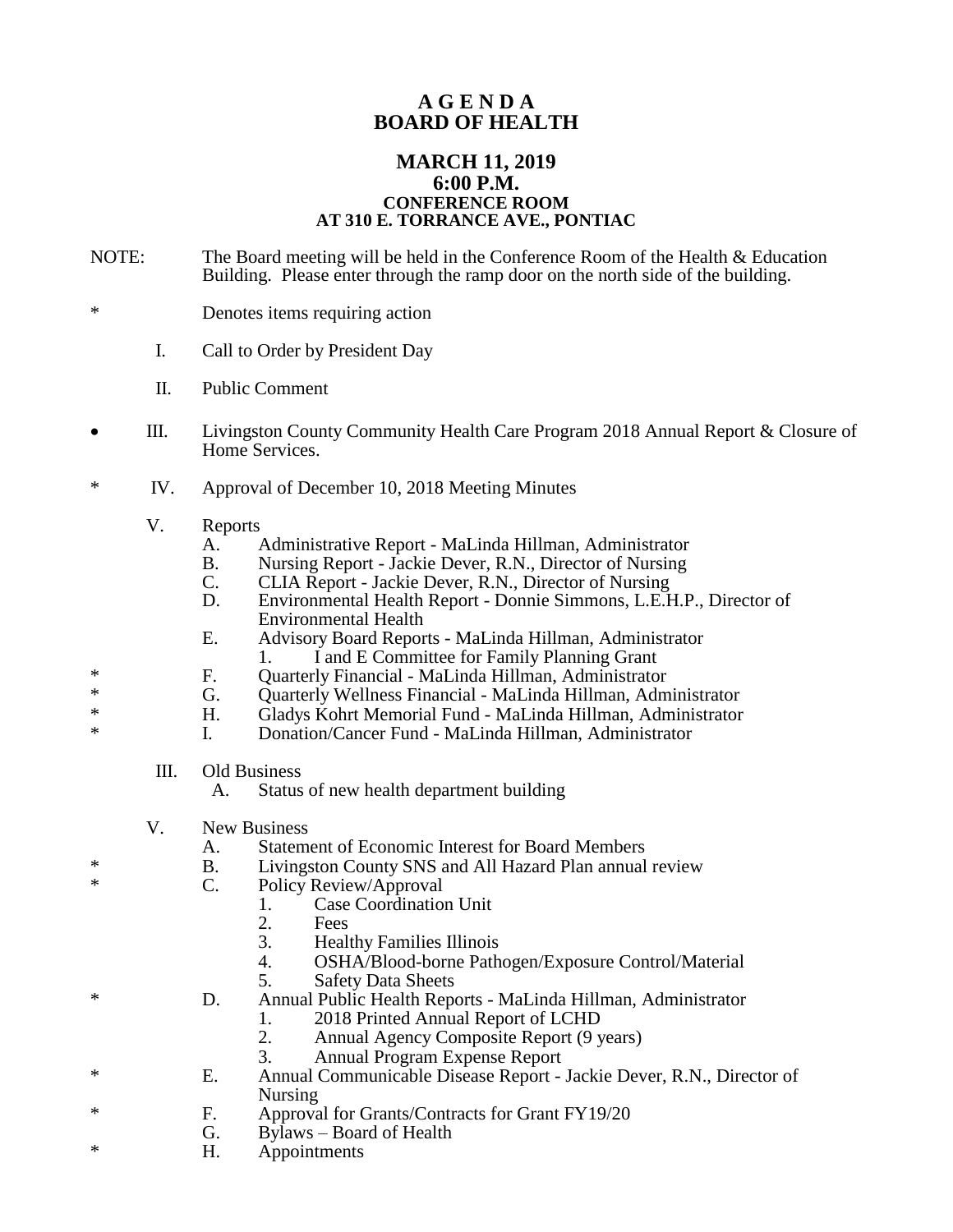## **A G E N D A BOARD OF HEALTH**

## **MARCH 11, 2019 6:00 P.M. CONFERENCE ROOM AT 310 E. TORRANCE AVE., PONTIAC**

- NOTE: The Board meeting will be held in the Conference Room of the Health & Education Building. Please enter through the ramp door on the north side of the building.
- \* Denotes items requiring action
	- I. Call to Order by President Day
	- II. Public Comment
- III. Livingston County Community Health Care Program 2018 Annual Report & Closure of Home Services.
- \* IV. Approval of December 10, 2018 Meeting Minutes
	- V. Reports
		- A. Administrative Report MaLinda Hillman, Administrator
		- B. Nursing Report Jackie Dever, R.N., Director of Nursing<br>C. CLIA Report Jackie Dever, R.N., Director of Nursing
		- C. CLIA Report Jackie Dever, R.N., Director of Nursing<br>D. Environmental Health Report Donnie Simmons, L.E.F
		- D. Environmental Health Report Donnie Simmons, L.E.H.P., Director of Environmental Health
		- E. Advisory Board Reports MaLinda Hillman, Administrator
	- 1. I and E Committee for Family Planning Grant
- \* F. Quarterly Financial MaLinda Hillman, Administrator<br>
<sup>\*</sup> G. Quarterly Wellness Financial MaLinda Hillman, Adm
- \* G. Quarterly Wellness Financial MaLinda Hillman, Administrator<br>
Financial Gladys Kohrt Memorial Fund MaLinda Hillman, Administrator
	- H. Gladys Kohrt Memorial Fund MaLinda Hillman, Administrator
- \* I. Donation/Cancer Fund MaLinda Hillman, Administrator
	- III. Old Business
		- A. Status of new health department building
	- V. New Business
		- A. Statement of Economic Interest for Board Members
- \* B. Livingston County SNS and All Hazard Plan annual review<br>
Solicy Poview (Approval
	- C. Policy Review/Approval
		- 1. Case Coordination Unit<br>2. Fees
		- 2. Fees<br>3. Heal
		- 3. Healthy Families Illinois<br>4 OSHA/Blood-borne Path
		- 4. OSHA/Blood-borne Pathogen/Exposure Control/Material
		- 5. Safety Data Sheets
- \* D. Annual Public Health Reports MaLinda Hillman, Administrator
	- 1. 2018 Printed Annual Report of LCHD<br>2. Annual Agency Composite Report (9 v
	- 2. Annual Agency Composite Report (9 years)
	- 3. Annual Program Expense Report
- \* E. Annual Communicable Disease Report Jackie Dever, R.N., Director of Nursing
- \* F. Approval for Grants/Contracts for Grant FY19/20
- Bylaws Board of Health
- \* H. Appointments